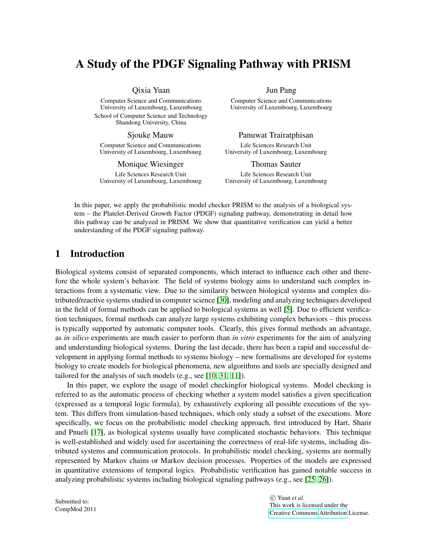# A Study of the PDGF Signaling Pathway with PRISM

Qixia Yuan

Computer Science and Communications University of Luxembourg, Luxembourg School of Computer Science and Technology Shandong University, China

Sjouke Mauw

Computer Science and Communications University of Luxembourg, Luxembourg

Monique Wiesinger

Life Sciences Research Unit University of Luxembourg, Luxembourg Jun Pang

Computer Science and Communications University of Luxembourg, Luxembourg

Panuwat Trairatphisan

Life Sciences Research Unit University of Luxembourg, Luxembourg

Thomas Sauter

Life Sciences Research Unit University of Luxembourg, Luxembourg

In this paper, we apply the probabilistic model checker PRISM to the analysis of a biological system – the Platelet-Derived Growth Factor (PDGF) signaling pathway, demonstrating in detail how this pathway can be analyzed in PRISM. We show that quantitative verification can yield a better understanding of the PDGF signaling pathway.

# 1 Introduction

Biological systems consist of separated components, which interact to influence each other and therefore the whole system's behavior. The field of systems biology aims to understand such complex interactions from a systematic view. Due to the similarity between biological systems and complex distributed/reactive systems studied in computer science [\[30\]](#page-15-0), modeling and analyzing techniques developed in the field of formal methods can be applied to biological systems as well [\[5\]](#page-14-0). Due to efficient verification techniques, formal methods can analyze large systems exhibiting complex behaviors – this process is typically supported by automatic computer tools. Clearly, this gives formal methods an advantage, as *in silico* experiments are much easier to perform than *in vitro* experiments for the aim of analyzing and understanding biological systems. During the last decade, there has been a rapid and successful development in applying formal methods to systems biology – new formalisms are developed for systems biology to create models for biological phenomena, new algorithms and tools are specially designed and tailored for the analysis of such models (e.g., see [\[10,](#page-14-1) [31,](#page-15-1) [11\]](#page-14-2)).

In this paper, we explore the usage of model checkingfor biological systems. Model checking is referred to as the automatic process of checking whether a system model satisfies a given specification (expressed as a temporal logic formula), by exhaustively exploring all possible executions of the system. This differs from simulation-based techniques, which only study a subset of the executions. More specifically, we focus on the probabilistic model checking approach, first introduced by Hart, Sharir and Pnueli [\[17\]](#page-14-3), as biological systems usually have complicated stochastic behaviors. This technique is well-established and widely used for ascertaining the correctness of real-life systems, including distributed systems and communication protocols. In probabilistic model checking, systems are normally represented by Markov chains or Markov decision processes. Properties of the models are expressed in quantitative extensions of temporal logics. Probabilistic verification has gained notable success in analyzing probabilistic systems including biological signaling pathways (e.g., see [\[25,](#page-15-2) [26\]](#page-15-3)).

Submitted to: CompMod 2011

 c Yuan *et al.* This work is licensed under the [Creative Commons](http://creativecommons.org) [Attribution](http://creativecommons.org/licenses/by/3.0/) License.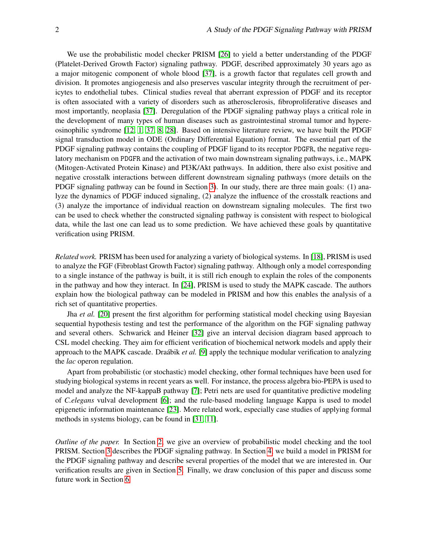We use the probabilistic model checker PRISM [\[26\]](#page-15-3) to yield a better understanding of the PDGF (Platelet-Derived Growth Factor) signaling pathway. PDGF, described approximately 30 years ago as a major mitogenic component of whole blood [\[37\]](#page-15-4), is a growth factor that regulates cell growth and division. It promotes angiogenesis and also preserves vascular integrity through the recruitment of pericytes to endothelial tubes. Clinical studies reveal that aberrant expression of PDGF and its receptor is often associated with a variety of disorders such as atherosclerosis, fibroproliferative diseases and most importantly, neoplasia [\[37\]](#page-15-4). Deregulation of the PDGF signaling pathway plays a critical role in the development of many types of human diseases such as gastrointestinal stromal tumor and hypereosinophilic syndrome [\[12,](#page-14-4) [1,](#page-14-5) [37,](#page-15-4) [8,](#page-14-6) [28\]](#page-15-5). Based on intensive literature review, we have built the PDGF signal transduction model in ODE (Ordinary Differential Equation) format. The essential part of the PDGF signaling pathway contains the coupling of PDGF ligand to its receptor PDGFR, the negative regulatory mechanism on PDGFR and the activation of two main downstream signaling pathways, i.e., MAPK (Mitogen-Activated Protein Kinase) and PI3K/Akt pathways. In addition, there also exist positive and negative crosstalk interactions between different downstream signaling pathways (more details on the PDGF signaling pathway can be found in Section [3\)](#page-4-0). In our study, there are three main goals: (1) analyze the dynamics of PDGF induced signaling, (2) analyze the influence of the crosstalk reactions and (3) analyze the importance of individual reaction on downstream signaling molecules. The first two can be used to check whether the constructed signaling pathway is consistent with respect to biological data, while the last one can lead us to some prediction. We have achieved these goals by quantitative verification using PRISM.

*Related work.* PRISM has been used for analyzing a variety of biological systems. In [\[18\]](#page-14-7), PRISM is used to analyze the FGF (Fibroblast Growth Factor) signaling pathway. Although only a model corresponding to a single instance of the pathway is built, it is still rich enough to explain the roles of the components in the pathway and how they interact. In [\[24\]](#page-15-6), PRISM is used to study the MAPK cascade. The authors explain how the biological pathway can be modeled in PRISM and how this enables the analysis of a rich set of quantitative properties.

Jha *et al.* [\[20\]](#page-15-7) present the first algorithm for performing statistical model checking using Bayesian sequential hypothesis testing and test the performance of the algorithm on the FGF signaling pathway and several others. Schwarick and Heiner [\[32\]](#page-15-8) give an interval decision diagram based approach to CSL model checking. They aim for efficient verification of biochemical network models and apply their approach to the MAPK cascade. Draábik *et al.* [\[9\]](#page-14-8) apply the technique modular verification to analyzing the *lac* operon regulation.

Apart from probabilistic (or stochastic) model checking, other formal techniques have been used for studying biological systems in recent years as well. For instance, the process algebra bio-PEPA is used to model and analyze the NF-kappaB pathway [\[7\]](#page-14-9); Petri nets are used for quantitative predictive modeling of *C.elegans* vulval development [\[6\]](#page-14-10); and the rule-based modeling language Kappa is used to model epigenetic information maintenance [\[23\]](#page-15-9). More related work, especially case studies of applying formal methods in systems biology, can be found in [\[31,](#page-15-1) [11\]](#page-14-2).

*Outline of the paper.* In Section [2,](#page-2-0) we give an overview of probabilistic model checking and the tool PRISM. Section [3](#page-4-0) describes the PDGF signaling pathway. In Section [4,](#page-6-0) we build a model in PRISM for the PDGF signaling pathway and describe several properties of the model that we are interested in. Our verification results are given in Section [5.](#page-8-0) Finally, we draw conclusion of this paper and discuss some future work in Section [6.](#page-13-0)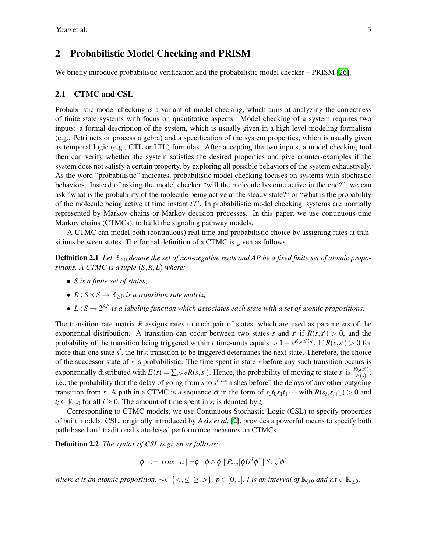# <span id="page-2-0"></span>2 Probabilistic Model Checking and PRISM

We briefly introduce probabilistic verification and the probabilistic model checker – PRISM [\[26\]](#page-15-3).

### 2.1 CTMC and CSL

Probabilistic model checking is a variant of model checking, which aims at analyzing the correctness of finite state systems with focus on quantitative aspects. Model checking of a system requires two inputs: a formal description of the system, which is usually given in a high level modeling formalism (e.g., Petri nets or process algebra) and a specification of the system properties, which is usually given as temporal logic (e.g., CTL or LTL) formulas. After accepting the two inputs, a model checking tool then can verify whether the system satisfies the desired properties and give counter-examples if the system does not satisfy a certain property, by exploring all possible behaviors of the system exhaustively. As the word "probabilistic" indicates, probabilistic model checking focuses on systems with stochastic behaviors. Instead of asking the model checker "will the molecule become active in the end?", we can ask "what is the probability of the molecule being active at the steady state?" or "what is the probability of the molecule being active at time instant *t*?". In probabilistic model checking, systems are normally represented by Markov chains or Markov decision processes. In this paper, we use continuous-time Markov chains (CTMCs), to build the signaling pathway models.

A CTMC can model both (continuous) real time and probabilistic choice by assigning rates at transitions between states. The formal definition of a CTMC is given as follows.

**Definition 2.1** *Let* ℝ><sub>0</sub> *denote the set of non-negative reals and AP be a fixed finite set of atomic propositions. A CTMC is a tuple* (*S*,*R*,*L*) *where:*

- *S is a finite set of states;*
- $R: S \times S \rightarrow \mathbb{R}_{\geq 0}$  *is a transition rate matrix;*
- $L: S \rightarrow 2^{AP}$  *is a labeling function which associates each state with a set of atomic propositions.*

The transition rate matrix *R* assigns rates to each pair of states, which are used as parameters of the exponential distribution. A transition can occur between two states *s* and *s'* if  $R(s, s') > 0$ , and the probability of the transition being triggered within *t* time-units equals to  $1 - e^{R(s,s') \cdot t}$ . If  $R(s,s') > 0$  for more than one state s', the first transition to be triggered determines the next state. Therefore, the choice of the successor state of *s* is probabilistic. The time spent in state *s* before any such transition occurs is exponentially distributed with  $E(s) = \sum_{s' \in S} R(s, s')$ . Hence, the probability of moving to state  $s'$  is  $\frac{R(s, s')}{E(s)}$  $\frac{E(s,s)}{E(s)},$ i.e., the probability that the delay of going from *s* to *s'* "finishes before" the delays of any other outgoing transition from *s*. A path in a CTMC is a sequence  $\sigma$  in the form of  $s_0t_0s_1t_1\cdots$  with  $R(s_i,s_{i+1}) > 0$  and  $t_i \in \mathbb{R}_{\geq 0}$  for all  $i \geq 0$ . The amount of time spent in  $s_i$  is denoted by  $t_i$ .

Corresponding to CTMC models, we use Continuous Stochastic Logic (CSL) to specify properties of built models. CSL, originally introduced by Aziz *et al.* [\[2\]](#page-14-11), provides a powerful means to specify both path-based and traditional state-based performance measures on CTMCs.

Definition 2.2 *The syntax of CSL is given as follows:*

$$
\phi \ ::= \ true \ | \ a \ | \ \neg \phi \ | \ \phi \wedge \phi \ | \ P_{\sim p}[\phi U^I \phi] \ | \ S_{\sim p}[\phi]
$$

*where a is an atomic proposition,*  $\sim \in \{<,\leq,\geq,>\}$ ,  $p \in [0,1]$ , *I is an interval of*  $\mathbb{R}_{\geq 0}$  *and r,t* ∈  $\mathbb{R}_{>0}$ *.*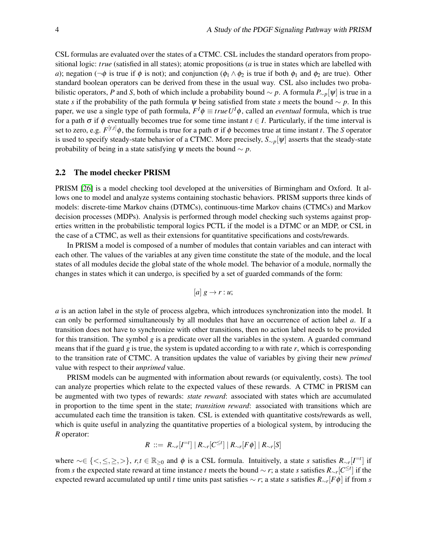CSL formulas are evaluated over the states of a CTMC. CSL includes the standard operators from propositional logic: *true* (satisfied in all states); atomic propositions (*a* is true in states which are labelled with *a*); negation ( $\neg \phi$  is true if  $\phi$  is not); and conjunction ( $\phi_1 \wedge \phi_2$  is true if both  $\phi_1$  and  $\phi_2$  are true). Other standard boolean operators can be derived from these in the usual way. CSL also includes two probabilistic operators, *P* and *S*, both of which include a probability bound  $\sim p$ . A formula  $P_{\sim p}[\psi]$  is true in a state *s* if the probability of the path formula  $\psi$  being satisfied from state *s* meets the bound  $\sim p$ . In this paper, we use a single type of path formula,  $F^I \phi \equiv true U^I \phi$ , called an *eventual* formula, which is true for a path  $\sigma$  if  $\phi$  eventually becomes true for some time instant  $t \in I$ . Particularly, if the time interval is set to zero, e.g.  $F^{[t,t]}$  $\phi$ , the formula is true for a path  $\sigma$  if  $\phi$  becomes true at time instant *t*. The *S* operator is used to specify steady-state behavior of a CTMC. More precisely, *S*∼*p*[ψ] asserts that the steady-state probability of being in a state satisfying  $\psi$  meets the bound  $\sim p$ .

### <span id="page-3-0"></span>2.2 The model checker PRISM

PRISM [\[26\]](#page-15-3) is a model checking tool developed at the universities of Birmingham and Oxford. It allows one to model and analyze systems containing stochastic behaviors. PRISM supports three kinds of models: discrete-time Markov chains (DTMCs), continuous-time Markov chains (CTMCs) and Markov decision processes (MDPs). Analysis is performed through model checking such systems against properties written in the probabilistic temporal logics PCTL if the model is a DTMC or an MDP, or CSL in the case of a CTMC, as well as their extensions for quantitative specifications and costs/rewards.

In PRISM a model is composed of a number of modules that contain variables and can interact with each other. The values of the variables at any given time constitute the state of the module, and the local states of all modules decide the global state of the whole model. The behavior of a module, normally the changes in states which it can undergo, is specified by a set of guarded commands of the form:

$$
[a] g \rightarrow r : u;
$$

*a* is an action label in the style of process algebra, which introduces synchronization into the model. It can only be performed simultaneously by all modules that have an occurrence of action label *a*. If a transition does not have to synchronize with other transitions, then no action label needs to be provided for this transition. The symbol *g* is a predicate over all the variables in the system. A guarded command means that if the guard *g* is true, the system is updated according to *u* with rate *r*, which is corresponding to the transition rate of CTMC. A transition updates the value of variables by giving their new *primed* value with respect to their *unprimed* value.

PRISM models can be augmented with information about rewards (or equivalently, costs). The tool can analyze properties which relate to the expected values of these rewards. A CTMC in PRISM can be augmented with two types of rewards: *state reward*: associated with states which are accumulated in proportion to the time spent in the state; *transition reward*: associated with transitions which are accumulated each time the transition is taken. CSL is extended with quantitative costs/rewards as well, which is quite useful in analyzing the quantitative properties of a biological system, by introducing the *R* operator:

$$
R\ ::= \ R_{\sim r}[I^{=t}]\ | \ R_{\sim r}[C^{\leq t}]\ | \ R_{\sim r}[F\phi]\ | \ R_{\sim r}[S]
$$

where  $\sim \in \{ \langle \leq, \leq, \geq \rangle \}$ ,  $r, t \in \mathbb{R}_{\geq 0}$  and  $\phi$  is a CSL formula. Intuitively, a state *s* satisfies  $R_{\sim r}[I^{-t}]$  if from *s* the expected state reward at time instance *t* meets the bound  $\sim r$ ; a state *s* satisfies  $R_{\sim r}[C^{\leq t}]$  if the expected reward accumulated up until *t* time units past satisfies ∼ *r*; a state *s* satisfies *R*∼*<sup>r</sup>* [*F*φ] if from *s*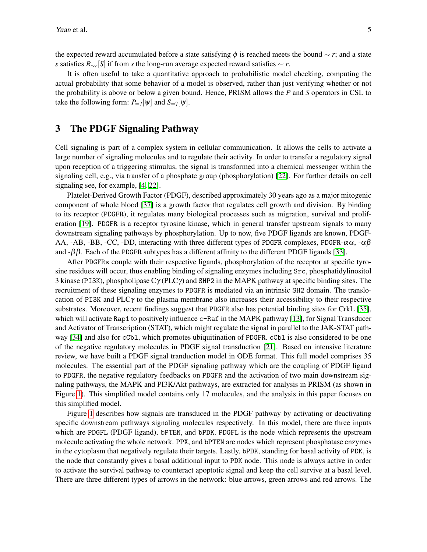the expected reward accumulated before a state satisfying φ is reached meets the bound ∼ *r*; and a state *s* satisfies *R*∼*<sup>r</sup>* [*S*] if from *s* the long-run average expected reward satisfies ∼ *r*.

It is often useful to take a quantitative approach to probabilistic model checking, computing the actual probability that some behavior of a model is observed, rather than just verifying whether or not the probability is above or below a given bound. Hence, PRISM allows the *P* and *S* operators in CSL to take the following form:  $P_{=?}[\psi]$  and  $S_{=?}[\psi]$ .

# <span id="page-4-0"></span>3 The PDGF Signaling Pathway

Cell signaling is part of a complex system in cellular communication. It allows the cells to activate a large number of signaling molecules and to regulate their activity. In order to transfer a regulatory signal upon reception of a triggering stimulus, the signal is transformed into a chemical messenger within the signaling cell, e.g., via transfer of a phosphate group (phosphorylation) [\[22\]](#page-15-10). For further details on cell signaling see, for example, [\[4,](#page-14-12) [22\]](#page-15-10).

Platelet-Derived Growth Factor (PDGF), described approximately 30 years ago as a major mitogenic component of whole blood [\[37\]](#page-15-4) is a growth factor that regulates cell growth and division. By binding to its receptor (PDGFR), it regulates many biological processes such as migration, survival and proliferation [\[19\]](#page-15-11). PDGFR is a receptor tyrosine kinase, which in general transfer upstream signals to many downstream signaling pathways by phosphorylation. Up to now, five PDGF ligands are known, PDGF-AA, -AB, -BB, -CC, -DD, interacting with three different types of PDGFR complexes, PDGFR- $\alpha\alpha$ , - $\alpha\beta$ and  $-\beta\beta$ . Each of the PDGFR subtypes has a different affinity to the different PDGF ligands [\[33\]](#page-15-12).

After PDGFRs couple with their respective ligands, phosphorylation of the receptor at specific tyrosine residues will occur, thus enabling binding of signaling enzymes including Src, phosphatidylinositol 3 kinase (PI3K), phospholipase  $C\gamma$  (PLC $\gamma$ ) and SHP2 in the MAPK pathway at specific binding sites. The recruitment of these signaling enzymes to PDGFR is mediated via an intrinsic SH2 domain. The translocation of PI3K and PLC $\gamma$  to the plasma membrane also increases their accessibility to their respective substrates. Moreover, recent findings suggest that PDGFR also has potential binding sites for CrkL [\[35\]](#page-15-13), which will activate Rap1 to positively influence c-Raf in the MAPK pathway [\[13\]](#page-14-13), for Signal Transducer and Activator of Transcription (STAT), which might regulate the signal in parallel to the JAK-STAT path-way [\[34\]](#page-15-14) and also for cCb1, which promotes ubiquitination of PDGFR. cCb1 is also considered to be one of the negative regulatory molecules in PDGF signal transduction [\[21\]](#page-15-15). Based on intensive literature review, we have built a PDGF signal tranduction model in ODE format. This full model comprises 35 molecules. The essential part of the PDGF signaling pathway which are the coupling of PDGF ligand to PDGFR, the negative regulatory feedbacks on PDGFR and the activation of two main downstream signaling pathways, the MAPK and PI3K/Akt pathways, are extracted for analysis in PRISM (as shown in Figure [1\)](#page-5-0). This simplified model contains only 17 molecules, and the analysis in this paper focuses on this simplified model.

Figure [1](#page-5-0) describes how signals are transduced in the PDGF pathway by activating or deactivating specific downstream pathways signaling molecules respectively. In this model, there are three inputs which are PDGFL (PDGF ligand), bPTEN, and bPDK. PDGFL is the node which represents the upstream molecule activating the whole network. PPX, and bPTEN are nodes which represent phosphatase enzymes in the cytoplasm that negatively regulate their targets. Lastly, bPDK, standing for basal activity of PDK, is the node that constantly gives a basal additional input to PDK node. This node is always active in order to activate the survival pathway to counteract apoptotic signal and keep the cell survive at a basal level. There are three different types of arrows in the network: blue arrows, green arrows and red arrows. The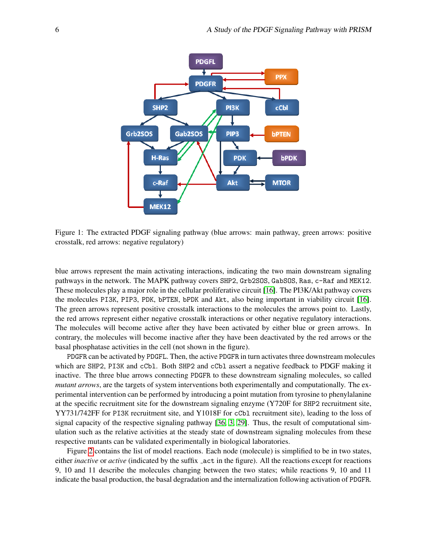

<span id="page-5-0"></span>Figure 1: The extracted PDGF signaling pathway (blue arrows: main pathway, green arrows: positive crosstalk, red arrows: negative regulatory)

blue arrows represent the main activating interactions, indicating the two main downstream signaling pathways in the network. The MAPK pathway covers SHP2, Grb2SOS, GabSOS, Ras, c-Raf and MEK12. These molecules play a major role in the cellular proliferative circuit [\[16\]](#page-14-14). The PI3K/Akt pathway covers the molecules PI3K, PIP3, PDK, bPTEN, bPDK and Akt, also being important in viability circuit [\[16\]](#page-14-14). The green arrows represent positive crosstalk interactions to the molecules the arrows point to. Lastly, the red arrows represent either negative crosstalk interactions or other negative regulatory interactions. The molecules will become active after they have been activated by either blue or green arrows. In contrary, the molecules will become inactive after they have been deactivated by the red arrows or the basal phosphatase activities in the cell (not shown in the figure).

PDGFR can be activated by PDGFL. Then, the active PDGFR in turn activates three downstream molecules which are SHP2, PI3K and cCbl. Both SHP2 and cCbl assert a negative feedback to PDGF making it inactive. The three blue arrows connecting PDGFR to these downstream signaling molecules, so called *mutant arrows*, are the targets of system interventions both experimentally and computationally. The experimental intervention can be performed by introducing a point mutation from tyrosine to phenylalanine at the specific recruitment site for the downstream signaling enzyme (Y720F for SHP2 recruitment site, YY731/742FF for PI3K recruitment site, and Y1018F for cCbl recruitment site), leading to the loss of signal capacity of the respective signaling pathway [\[36,](#page-15-16) [3,](#page-14-15) [29\]](#page-15-17). Thus, the result of computational simulation such as the relative activities at the steady state of downstream signaling molecules from these respective mutants can be validated experimentally in biological laboratories.

Figure [2](#page-6-1) contains the list of model reactions. Each node (molecule) is simplified to be in two states, either *inactive* or *active* (indicated by the suffix act in the figure). All the reactions except for reactions 9, 10 and 11 describe the molecules changing between the two states; while reactions 9, 10 and 11 indicate the basal production, the basal degradation and the internalization following activation of PDGFR.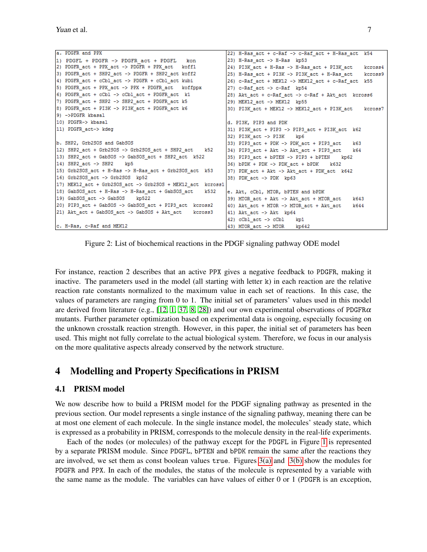```
a. PDGFR and PPX
                                                            22) H-Ras act + c-Raf -> c-Raf act + H-Ras act
                                                                                                            k541) PDGFL + PDGFR -> PDGFR act + PDGFL
                                                            |23) H-Ras act -> H-Ras kp53
                                             kon
2) PDGFR act + PPX act -> PDGFR + PPX act koff1
                                                            24) PI3K act + H-Ras -> H-Ras act + PI3K act
                                                                                                           kcross4
3) PDGFR_act + SHP2_act -> PDGFR + SHP2_act koff2
                                                            25) H-Ras act + PI3K -> PI3K act + H-Ras act
                                                                                                            kcross9
4) PDGFR_act + cCbl_act -> PDGFR + cCbl_act kubi
                                                            26) c-Raf_act + MEK12 -> MEK12_act + c-Raf_act k55
5) PDGFR act + PPX act -> PPX + PDGFR act koffppx
                                                            27) c-Raf_act -> c-Raf kp54
6) PDGFR act + cCbl \rightarrow cCbl act + PDGFR act k1
                                                            28) Akt act + c-Raf act -> c-Raf + Akt act kcross6
7) PDGFR act + SHP2 -> SHP2 act + PDGFR act k5
                                                            29) MEK12 act -> MEK12 kp55
8) PDGFR_act + PI3K -> PI3K_act + PDGFR_act k6
                                                            30) PI3K act + MEK12 -> MEK12 act + PI3K act
                                                                                                           kcross7
9) ->PDGFR kbasal
10) PDGFR-> kbasal
                                                            d. PI3K, PIP3 and PDK
                                                            31) PI3K_act + PIP3 -> PIP3_act + PI3K_act k62
11) PDGFR act-> kdeg
                                                            32) PI3K act \rightarrow PI3Kk\pib. SHP2, Grb2SOS and GabSOS
                                                            33) PIP3 act + PDK -> PDK act + PIP3 act
                                                                                                        k6312) SHP2 act + Grb2SOS -> Grb2SOS act + SHP2 act
                                                   k5234) PIP3_act + Akt -> Akt_act + PIP3_act
                                                                                                       164
13) SHP2 act + GabSOS -> GabSOS act + SHP2 act k522
                                                            35) PIP3 act + bPTEN -> PIP3 + bPTEN
                                                                                                  kp6214) SHP2 act -> SHP2 kp5
                                                            36) bPDK + PDK \rightarrow PDK act + bPDKk632
15) Grb2SOS_act + H-Ras -> H-Ras_act + Grb2SOS_act k53
                                                            37) PDK act + Akt -> Akt act + PDK act k642
16) Grb2SOS_act -> Grb2SOS kp52
                                                            38) PDK_act -> PDK kp63
17) MEK12_act + Grb2SOS_act -> Grb2SOS + MEK12_act kcross1
18) GabSOS_act + H-Ras -> H-Ras_act + GabSOS_act
                                                   k532
                                                            e. Akt, cCbl, MTOR, bPTEN and bPDK
19) GabSOS_act -> GabSOS kp522
                                                            39) MTOR_act + Akt -> Akt_act + MTOR_act
                                                                                                        k643
20) PIP3_act + GabSOS -> GabSOS_act + PIP3_act kcross2
                                                            40) Akt_act + MTOR -> MTOR_act + Akt_act
                                                                                                        k644
21) Akt_act + GabSOS_act -> GabSOS + Akt_act
                                                kcross3
                                                            41) Akt act -> Akt kp64
                                                            |42) cCbl act \rightarrow cCbl
                                                                                    kp1c. H-Ras, c-Raf and MEK12
                                                            43) MTOR_act -> MTOR
                                                                                    kp642
```
<span id="page-6-1"></span>Figure 2: List of biochemical reactions in the PDGF signaling pathway ODE model

For instance, reaction 2 describes that an active PPX gives a negative feedback to PDGFR, making it inactive. The parameters used in the model (all starting with letter  $k$ ) in each reaction are the relative reaction rate constants normalized to the maximum value in each set of reactions. In this case, the values of parameters are ranging from 0 to 1. The initial set of parameters' values used in this model are derived from literature (e.g., [\[12,](#page-14-4) [1,](#page-14-5) [37,](#page-15-4) [8,](#page-14-6) [28\]](#page-15-5)) and our own experimental observations of PDGFR $\alpha$ mutants. Further parameter optimization based on experimental data is ongoing, especially focusing on the unknown crosstalk reaction strength. However, in this paper, the initial set of parameters has been used. This might not fully correlate to the actual biological system. Therefore, we focus in our analysis on the more qualitative aspects already conserved by the network structure.

# <span id="page-6-0"></span>4 Modelling and Property Specifications in PRISM

### <span id="page-6-2"></span>4.1 PRISM model

We now describe how to build a PRISM model for the PDGF signaling pathway as presented in the previous section. Our model represents a single instance of the signaling pathway, meaning there can be at most one element of each molecule. In the single instance model, the molecules' steady state, which is expressed as a probability in PRISM, corresponds to the molecule density in the real-life experiments.

Each of the nodes (or molecules) of the pathway except for the PDGFL in Figure [1](#page-5-0) is represented by a separate PRISM module. Since PDGFL, bPTEN and bPDK remain the same after the reactions they are involved, we set them as const boolean values true. Figures [3\(a\)](#page-7-0) and [3\(b\)](#page-7-1) show the modules for PDGFR and PPX. In each of the modules, the status of the molecule is represented by a variable with the same name as the module. The variables can have values of either 0 or 1 (PDGFR is an exception,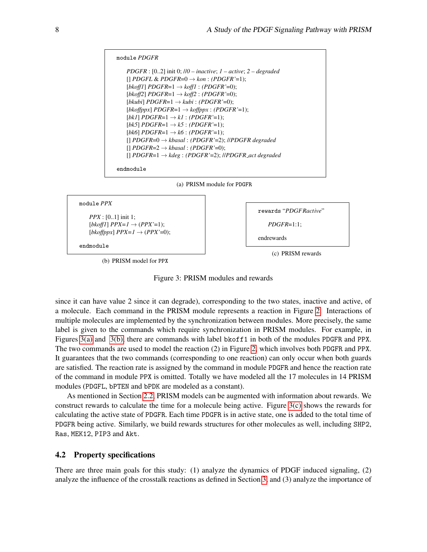```
module PDGFR
   PDGFR : [0..2] init 0; //0 – inactive; 1 – active; 2 – degraded
   [] PDGFL & PDGFR=0 → kon : (PDGFR'=1);
   [bkoff1] PDGFR=1 \rightarrow koff1 : (PDGFR' = 0);[bkoff2] PDGFR=1 → koff2 : (PDGFR'=0);
   [bkubi] PDGFR=1 → kubi : (PDGFR'=0);
   [bkoffppx] PDGFR=1 \rightarrow koffppx : (PDGFR'=1);[bkl] PDGFR=1 \rightarrow kl : (PDGFR'=1);
   [bk5] PDGFR=1 \rightarrow k5 : (PDGFR'=1);
   [bk6] PDGFR=1 \rightarrow k6 : (PDGFR'=1);
   [] PDGFR=0 → kbasal : (PDGFR'=2); //PDGFR degraded
   [] PDGFR=2 → kbasal : (PDGFR'=0);
   [] PDGFR=1 → kdeg : (PDGFR'=2); //PDGFR act degraded
endmodule
```


(a) PRISM module for PDGFR

<span id="page-7-1"></span>

```
rewards "PDGFRactive"
   PDGFR=1:1;
endrewards
```
endmodule

(b) PRISM model for PPX



Figure 3: PRISM modules and rewards

since it can have value 2 since it can degrade), corresponding to the two states, inactive and active, of a molecule. Each command in the PRISM module represents a reaction in Figure [2.](#page-6-1) Interactions of multiple molecules are implemented by the synchronization between modules. More precisely, the same label is given to the commands which require synchronization in PRISM modules. For example, in Figures [3\(a\)](#page-7-0) and [3\(b\),](#page-7-1) there are commands with label bkoff1 in both of the modules PDGFR and PPX. The two commands are used to model the reaction (2) in Figure [2,](#page-6-1) which involves both PDGFR and PPX. It guarantees that the two commands (corresponding to one reaction) can only occur when both guards are satisfied. The reaction rate is assigned by the command in module PDGFR and hence the reaction rate of the command in module PPX is omitted. Totally we have modeled all the 17 molecules in 14 PRISM modules (PDGFL, bPTEN and bPDK are modeled as a constant).

As mentioned in Section [2.2,](#page-3-0) PRISM models can be augmented with information about rewards. We construct rewards to calculate the time for a molecule being active. Figure [3\(c\)](#page-7-2) shows the rewards for calculating the active state of PDGFR. Each time PDGFR is in active state, one is added to the total time of PDGFR being active. Similarly, we build rewards structures for other molecules as well, including SHP2, Ras, MEK12, PIP3 and Akt.

#### <span id="page-7-3"></span>4.2 Property specifications

There are three main goals for this study: (1) analyze the dynamics of PDGF induced signaling, (2) analyze the influence of the crosstalk reactions as defined in Section [3,](#page-4-0) and (3) analyze the importance of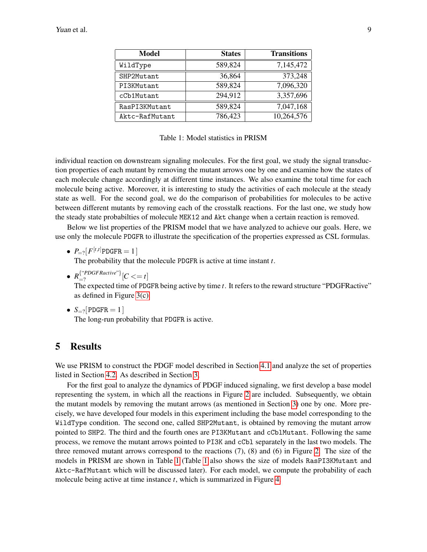| <b>Model</b>   | <b>States</b> | <b>Transitions</b> |
|----------------|---------------|--------------------|
| WildType       | 589,824       | 7,145,472          |
| SHP2Mutant     | 36,864        | 373,248            |
| PI3KMutant     | 589,824       | 7,096,320          |
| cCb1Mutant     | 294,912       | 3,357,696          |
| RasPI3KMutant  | 589,824       | 7,047,168          |
| Aktc-RafMutant | 786,423       | 10,264,576         |

<span id="page-8-1"></span>Table 1: Model statistics in PRISM

individual reaction on downstream signaling molecules. For the first goal, we study the signal transduction properties of each mutant by removing the mutant arrows one by one and examine how the states of each molecule change accordingly at different time instances. We also examine the total time for each molecule being active. Moreover, it is interesting to study the activities of each molecule at the steady state as well. For the second goal, we do the comparison of probabilities for molecules to be active between different mutants by removing each of the crosstalk reactions. For the last one, we study how the steady state probabilties of molecule MEK12 and Akt change when a certain reaction is removed.

Below we list properties of the PRISM model that we have analyzed to achieve our goals. Here, we use only the molecule PDGFR to illustrate the specification of the properties expressed as CSL formulas.

•  $P_{=?}[F^{[t,t]}$ PDGFR = 1]

The probability that the molecule PDGFR is active at time instant *t*.

- $R_{\equiv 2}^{\{\text{``PDGFRactive''}\}}$  $\sum_{i=2}^{T}$   $\sum_{i=2}^{T}$   $\sum_{i=2}^{T}$   $\sum_{i=2}^{T}$   $\sum_{i=2}^{T}$ The expected time of PDGFR being active by time *t*. It refers to the reward structure "PDGFRactive" as defined in Figure [3\(c\).](#page-7-2)
- $S_{=?}$ [PDGFR = 1] The long-run probability that PDGFR is active.

# <span id="page-8-0"></span>5 Results

We use PRISM to construct the PDGF model described in Section [4.1](#page-6-2) and analyze the set of properties listed in Section [4.2.](#page-7-3) As described in Section [3,](#page-4-0)

For the first goal to analyze the dynamics of PDGF induced signaling, we first develop a base model representing the system, in which all the reactions in Figure [2](#page-6-1) are included. Subsequently, we obtain the mutant models by removing the mutant arrows (as mentioned in Section [3\)](#page-4-0) one by one. More precisely, we have developed four models in this experiment including the base model corresponding to the WildType condition. The second one, called SHP2Mutant, is obtained by removing the mutant arrow pointed to SHP2. The third and the fourth ones are PI3KMutant and cCblMutant. Following the same process, we remove the mutant arrows pointed to PI3K and cCbl separately in the last two models. The three removed mutant arrows correspond to the reactions (7), (8) and (6) in Figure [2.](#page-6-1) The size of the models in PRISM are shown in Table [1](#page-8-1) (Table [1](#page-8-1) also shows the size of models RasPI3KMutant and Aktc-RafMutant which will be discussed later). For each model, we compute the probability of each molecule being active at time instance *t*, which is summarized in Figure [4.](#page-9-0)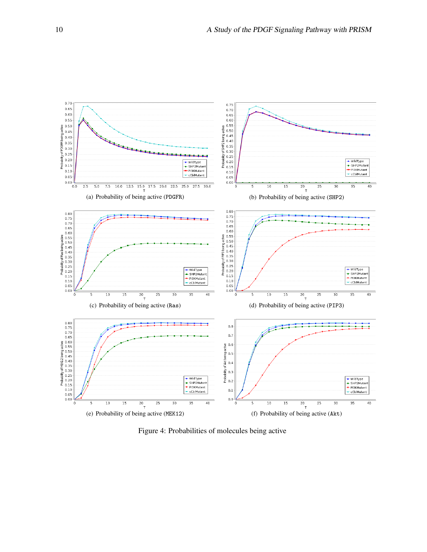<span id="page-9-5"></span><span id="page-9-4"></span><span id="page-9-1"></span>

<span id="page-9-6"></span><span id="page-9-3"></span><span id="page-9-2"></span><span id="page-9-0"></span>Figure 4: Probabilities of molecules being active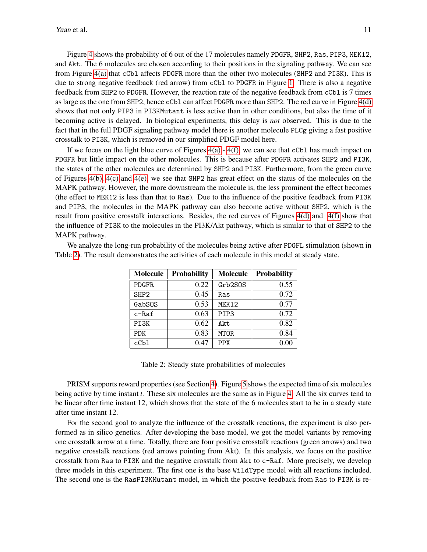Figure [4](#page-9-0) shows the probability of 6 out of the 17 molecules namely PDGFR, SHP2, Ras, PIP3, MEK12, and Akt. The 6 molecules are chosen according to their positions in the signaling pathway. We can see from Figure [4\(a\)](#page-9-1) that cCbl affects PDGFR more than the other two molecules (SHP2 and PI3K). This is due to strong negative feedback (red arrow) from cCbl to PDGFR in Figure [1.](#page-5-0) There is also a negative feedback from SHP2 to PDGFR. However, the reaction rate of the negative feedback from cCbl is 7 times as large as the one from SHP2, hence cCbl can affect PDGFR more than SHP2. The red curve in Figure [4\(d\)](#page-9-2) shows that not only PIP3 in PI3KMutant is less active than in other conditions, but also the time of it becoming active is delayed. In biological experiments, this delay is *not* observed. This is due to the fact that in the full PDGF signaling pathway model there is another molecule PLCg giving a fast positive crosstalk to PI3K, which is removed in our simplified PDGF model here.

If we focus on the light blue curve of Figures  $4(a) - 4(f)$ , we can see that cCbl has much impact on PDGFR but little impact on the other molecules. This is because after PDGFR activates SHP2 and PI3K, the states of the other molecules are determined by SHP2 and PI3K. Furthermore, from the green curve of Figures [4\(b\),](#page-9-4) [4\(c\)](#page-9-5) and [4\(e\),](#page-9-6) we see that SHP2 has great effect on the status of the molecules on the MAPK pathway. However, the more downstream the molecule is, the less prominent the effect becomes (the effect to MEK12 is less than that to Ras). Due to the influence of the positive feedback from PI3K and PIP3, the molecules in the MAPK pathway can also become active without SHP2, which is the result from positive crosstalk interactions. Besides, the red curves of Figures [4\(d\)](#page-9-2) and [4\(f\)](#page-9-3) show that the influence of PI3K to the molecules in the PI3K/Akt pathway, which is similar to that of SHP2 to the MAPK pathway.

We analyze the long-run probability of the molecules being active after PDGFL stimulation (shown in Table [2\)](#page-10-0). The result demonstrates the activities of each molecule in this model at steady state.

| <b>Molecule</b>  | <b>Probability</b> | Molecule   | <b>Probability</b> |
|------------------|--------------------|------------|--------------------|
| <b>PDGFR</b>     | 0.22               | Grb2SOS    | 0.55               |
| SHP <sub>2</sub> | 0.45               | Ras        | 0.72               |
| GabSOS           | 0.53               | MEK12      | 0.77               |
| $c$ -Raf         | 0.63               | PIP3       | 0.72               |
| PI3K             | 0.62               | Akt.       | 0.82               |
| <b>PDK</b>       | 0.83               | MTOR.      | 0.84               |
| cCb1             | 0.47               | <b>PPX</b> | 0.00               |

<span id="page-10-0"></span>Table 2: Steady state probabilities of molecules

PRISM supports reward properties (see Section [4\)](#page-6-0). Figure [5](#page-11-0) shows the expected time of six molecules being active by time instant *t*. These six molecules are the same as in Figure [4.](#page-9-0) All the six curves tend to be linear after time instant 12, which shows that the state of the 6 molecules start to be in a steady state after time instant 12.

For the second goal to analyze the influence of the crosstalk reactions, the experiment is also performed as in silico genetics. After developing the base model, we get the model variants by removing one crosstalk arrow at a time. Totally, there are four positive crosstalk reactions (green arrows) and two negative crosstalk reactions (red arrows pointing from Akt). In this analysis, we focus on the positive crosstalk from Ras to PI3K and the negative crosstalk from Akt to c-Raf. More precisely, we develop three models in this experiment. The first one is the base WildType model with all reactions included. The second one is the RasPI3KMutant model, in which the positive feedback from Ras to PI3K is re-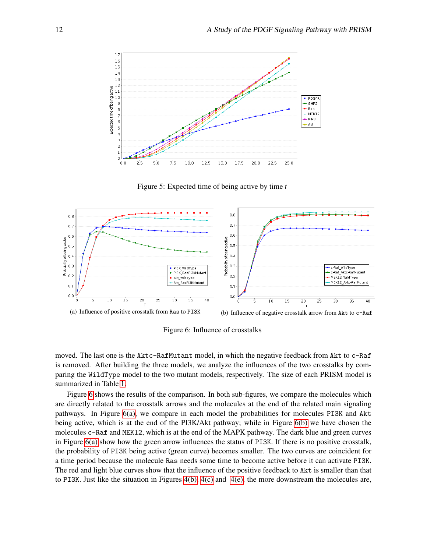

<span id="page-11-0"></span>Figure 5: Expected time of being active by time *t*

<span id="page-11-2"></span>

<span id="page-11-3"></span><span id="page-11-1"></span>Figure 6: Influence of crosstalks

moved. The last one is the Aktc-RafMutant model, in which the negative feedback from Akt to c-Raf is removed. After building the three models, we analyze the influences of the two crosstalks by comparing the WildType model to the two mutant models, respectively. The size of each PRISM model is summarized in Table [1.](#page-8-1)

Figure [6](#page-11-1) shows the results of the comparison. In both sub-figures, we compare the molecules which are directly related to the crosstalk arrows and the molecules at the end of the related main signaling pathways. In Figure [6\(a\),](#page-11-2) we compare in each model the probabilities for molecules PI3K and Akt being active, which is at the end of the PI3K/Akt pathway; while in Figure [6\(b\)](#page-11-3) we have chosen the molecules c-Raf and MEK12, which is at the end of the MAPK pathway. The dark blue and green curves in Figure [6\(a\)](#page-11-2) show how the green arrow influences the status of PI3K. If there is no positive crosstalk, the probability of PI3K being active (green curve) becomes smaller. The two curves are coincident for a time period because the molecule Ras needs some time to become active before it can activate PI3K. The red and light blue curves show that the influence of the positive feedback to Akt is smaller than that to PI3K. Just like the situation in Figures [4\(b\),](#page-9-4) [4\(c\)](#page-9-5) and [4\(e\),](#page-9-6) the more downstream the molecules are,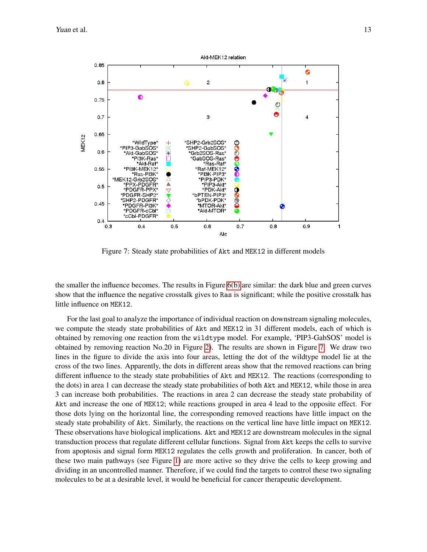

<span id="page-12-0"></span>Figure 7: Steady state probabilities of Akt and MEK12 in different models

the smaller the influence becomes. The results in Figure [6\(b\)](#page-11-3) are similar: the dark blue and green curves show that the influence the negative crosstalk gives to Ras is significant; while the positive crosstalk has little influence on MEK12.

For the last goal to analyze the importance of individual reaction on downstream signaling molecules, we compute the steady state probabilities of Akt and MEK12 in 31 different models, each of which is obtained by removing one reaction from the wildtype model. For example, 'PIP3-GabSOS' model is obtained by removing reaction No.20 in Figure [2\)](#page-6-1). The results are shown in Figure [7.](#page-12-0) We draw two lines in the figure to divide the axis into four areas, letting the dot of the wildtype model lie at the cross of the two lines. Apparently, the dots in different areas show that the removed reactions can bring different influence to the steady state probabilities of Akt and MEK12. The reactions (corresponding to the dots) in area 1 can decrease the steady state probabilities of both Akt and MEK12, while those in area 3 can increase both probabilities. The reactions in area 2 can decrease the steady state probability of Akt and increase the one of MEK12; while reactions grouped in area 4 lead to the opposite effect. For those dots lying on the horizontal line, the corresponding removed reactions have little impact on the steady state probability of Akt. Similarly, the reactions on the vertical line have little impact on MEK12. These observations have biological implications. Akt and MEK12 are downstream molecules in the signal transduction process that regulate different cellular functions. Signal from Akt keeps the cells to survive from apoptosis and signal form MEK12 regulates the cells growth and proliferation. In cancer, both of these two main pathways (see Figure [1\)](#page-5-0) are more active so they drive the cells to keep growing and dividing in an uncontrolled manner. Therefore, if we could find the targets to control these two signaling molecules to be at a desirable level, it would be beneficial for cancer therapeutic development.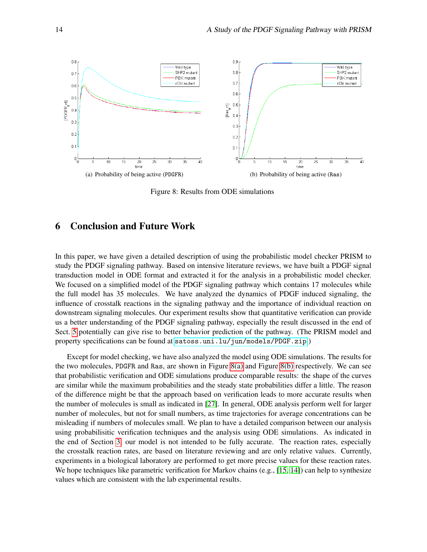<span id="page-13-1"></span>

<span id="page-13-2"></span>Figure 8: Results from ODE simulations

# <span id="page-13-0"></span>6 Conclusion and Future Work

In this paper, we have given a detailed description of using the probabilistic model checker PRISM to study the PDGF signaling pathway. Based on intensive literature reviews, we have built a PDGF signal transduction model in ODE format and extracted it for the analysis in a probabilistic model checker. We focused on a simplified model of the PDGF signaling pathway which contains 17 molecules while the full model has 35 molecules. We have analyzed the dynamics of PDGF induced signaling, the influence of crosstalk reactions in the signaling pathway and the importance of individual reaction on downstream signaling molecules. Our experiment results show that quantitative verification can provide us a better understanding of the PDGF signaling pathway, especially the result discussed in the end of Sect. [5](#page-8-0) potentially can give rise to better behavior prediction of the pathway. (The PRISM model and property specifications can be found at <satoss.uni.lu/jun/models/PDGF.zip>.)

Except for model checking, we have also analyzed the model using ODE simulations. The results for the two molecules, PDGFR and Ras, are shown in Figure [8\(a\)](#page-13-1) and Figure [8\(b\)](#page-13-2) respectively. We can see that probabilistic verification and ODE simulations produce comparable results: the shape of the curves are similar while the maximum probabilities and the steady state probabilities differ a little. The reason of the difference might be that the approach based on verification leads to more accurate results when the number of molecules is small as indicated in [\[27\]](#page-15-18). In general, ODE analysis perform well for larger number of molecules, but not for small numbers, as time trajectories for average concentrations can be misleading if numbers of molecules small. We plan to have a detailed comparison between our analysis using probabilisitic verification techniques and the analysis using ODE simulations. As indicated in the end of Section [3,](#page-4-0) our model is not intended to be fully accurate. The reaction rates, especially the crosstalk reaction rates, are based on literature reviewing and are only relative values. Currently, experiments in a biological laboratory are performed to get more precise values for these reaction rates. We hope techniques like parametric verification for Markov chains (e.g., [\[15,](#page-14-16) [14\]](#page-14-17)) can help to synthesize values which are consistent with the lab experimental results.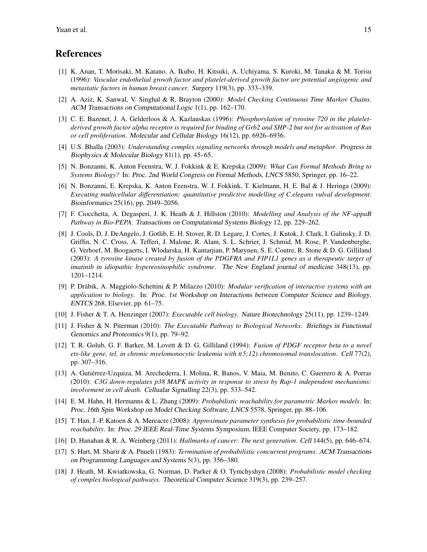### References

- <span id="page-14-5"></span>[1] K. Anan, T. Morisaki, M. Katano, A. Ikubo, H. Kitsuki, A. Uchiyama, S. Kuroki, M. Tanaka & M. Torisu (1996): *Vascular endothelial growth factor and platelet-derived growth factor are potential angiogenic and metastatic factors in human breast cancer*. Surgery 119(3), pp. 333–339.
- <span id="page-14-11"></span>[2] A. Aziz, K. Sanwal, V. Singhal & R. Brayton (2000): *Model Checking Continuous Time Markov Chains*. ACM Transactions on Computational Logic 1(1), pp. 162–170.
- <span id="page-14-15"></span>[3] C. E. Bazenet, J. A. Gelderloos & A. Kazlauskas (1996): *Phosphorylation of tyrosine 720 in the plateletderived growth factor alpha receptor is required for binding of Grb2 and SHP-2 but not for activation of Ras or cell proliferation*. Molecular and Cellular Biology 16(12), pp. 6926–6936.
- <span id="page-14-12"></span>[4] U.S. Bhalla (2003): *Understanding complex signaling networks through models and metaphor*. Progress in Biophysics & Molecular Biology 81(1), pp. 45–65.
- <span id="page-14-0"></span>[5] N. Bonzanni, K. Anton Feenstra, W. J. Fokkink & E. Krepska (2009): *What Can Formal Methods Bring to Systems Biology?* In: Proc. 2nd World Congress on Formal Methods, LNCS 5850, Springer, pp. 16–22.
- <span id="page-14-10"></span>[6] N. Bonzanni, E. Krepska, K. Anton Feenstra, W. J. Fokkink, T. Kielmann, H. E. Bal & J. Heringa (2009): *Executing multicellular differentiation: quantitative predictive modelling of C.elegans vulval development*. Bioinformatics 25(16), pp. 2049–2056.
- <span id="page-14-9"></span>[7] F. Ciocchetta, A. Degasperi, J. K. Heath & J. Hillston (2010): *Modelling and Analysis of the NF-appaB Pathway in Bio-PEPA*. Transactions on Computational Systems Biology 12, pp. 229–262.
- <span id="page-14-6"></span>[8] J. Cools, D. J. DeAngelo, J. Gotlib, E. H. Stover, R. D. Legare, J. Cortes, J. Kutok, J. Clark, I. Galinsky, J. D. Griffin, N. C. Cross, A. Tefferi, J. Malone, R. Alam, S. L. Schrier, J. Schmid, M. Rose, P. Vandenberghe, G. Verhoef, M. Boogaerts, I. Wlodarska, H. Kantarjian, P. Marynen, S. E. Coutre, R. Stone & D. G. Gilliland (2003): *A tyrosine kinase created by fusion of the PDGFRA and FIP1L1 genes as a therapeutic target of imatinib in idiopathic hypereosinophilic syndrome*. The New England journal of medicine 348(13), pp. 1201–1214.
- <span id="page-14-8"></span>[9] P. Drabik, A. Maggiolo-Schettini & P. Milazzo (2010): ´ *Modular verification of interactive systems with an application to biology*. In: Proc. 1st Workshop on Interactions between Computer Science and Biology, ENTCS 268, Elsevier, pp. 61–75.
- <span id="page-14-1"></span>[10] J. Fisher & T. A. Henzinger (2007): *Executable cell biology*. Nature Biotechnology 25(11), pp. 1239–1249.
- <span id="page-14-2"></span>[11] J. Fisher & N. Piterman (2010): *The Executable Pathway to Biological Networks*. Briefings in Functional Genomics and Proteomics 9(1), pp. 79–92.
- <span id="page-14-4"></span>[12] T. R. Golub, G. F. Barker, M. Lovett & D. G. Gilliland (1994): *Fusion of PDGF receptor beta to a novel ets-like gene, tel, in chronic myelomonocytic leukemia with t(5;12) chromosomal translocation*. Cell 77(2), pp. 307–316.
- <span id="page-14-13"></span>[13] A. Gutierrez-Uzquiza, M. Arechederra, I. Molina, R. Banos, V. Maia, M. Benito, C. Guerrero & A. Porras ´ (2010): *C3G down-regulates p38 MAPK activity in response to stress by Rap-1 independent mechanisms: involvement in cell death*. Cellualar Signalling 22(3), pp. 533–542.
- <span id="page-14-17"></span>[14] E. M. Hahn, H. Hermanns & L. Zhang (2009): *Probabilistic reachability for parametric Markov models*. In: Proc. 16th Spin Workshop on Model Checking Software, LNCS 5578, Springer, pp. 88–106.
- <span id="page-14-16"></span>[15] T. Han, J.-P. Katoen & A. Mereacre (2008): *Approximate parameter synthesis for probabilistic time-bounded reachability*. In: Proc. 29 IEEE Real-Time Systems Symposium, IEEE Computer Society, pp. 173–182.
- <span id="page-14-14"></span>[16] D. Hanahan & R. A. Weinberg (2011): *Hallmarks of cancer: The next generation*. Cell 144(5), pp. 646–674.
- <span id="page-14-3"></span>[17] S. Hart, M. Sharir & A. Pnueli (1983): *Termination of probabilistic concurrent programs*. ACM Transactions on Programming Languages and Systems 5(3), pp. 356–380.
- <span id="page-14-7"></span>[18] J. Heath, M. Kwiatkowska, G. Norman, D. Parker & O. Tymchyshyn (2008): *Probabilistic model checking of complex biological pathways*. Theoretical Computer Science 319(3), pp. 239–257.